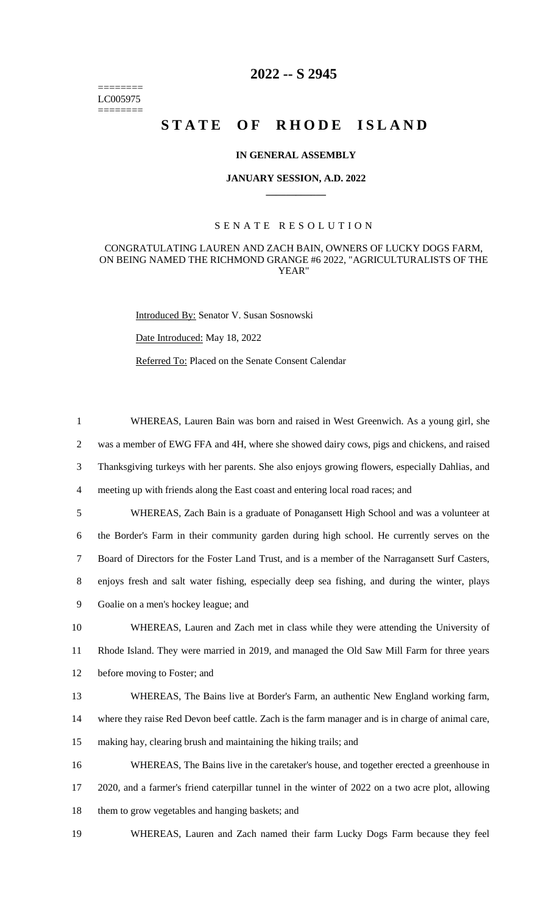======== LC005975 ========

## **2022 -- S 2945**

# STATE OF RHODE ISLAND

### **IN GENERAL ASSEMBLY**

#### **JANUARY SESSION, A.D. 2022 \_\_\_\_\_\_\_\_\_\_\_\_**

#### S E N A T E R E S O L U T I O N

### CONGRATULATING LAUREN AND ZACH BAIN, OWNERS OF LUCKY DOGS FARM, ON BEING NAMED THE RICHMOND GRANGE #6 2022, "AGRICULTURALISTS OF THE YEAR"

Introduced By: Senator V. Susan Sosnowski

Date Introduced: May 18, 2022

Referred To: Placed on the Senate Consent Calendar

 WHEREAS, Lauren Bain was born and raised in West Greenwich. As a young girl, she was a member of EWG FFA and 4H, where she showed dairy cows, pigs and chickens, and raised Thanksgiving turkeys with her parents. She also enjoys growing flowers, especially Dahlias, and meeting up with friends along the East coast and entering local road races; and WHEREAS, Zach Bain is a graduate of Ponagansett High School and was a volunteer at the Border's Farm in their community garden during high school. He currently serves on the Board of Directors for the Foster Land Trust, and is a member of the Narragansett Surf Casters, enjoys fresh and salt water fishing, especially deep sea fishing, and during the winter, plays Goalie on a men's hockey league; and WHEREAS, Lauren and Zach met in class while they were attending the University of Rhode Island. They were married in 2019, and managed the Old Saw Mill Farm for three years before moving to Foster; and WHEREAS, The Bains live at Border's Farm, an authentic New England working farm, where they raise Red Devon beef cattle. Zach is the farm manager and is in charge of animal care, making hay, clearing brush and maintaining the hiking trails; and WHEREAS, The Bains live in the caretaker's house, and together erected a greenhouse in 2020, and a farmer's friend caterpillar tunnel in the winter of 2022 on a two acre plot, allowing them to grow vegetables and hanging baskets; and

19 WHEREAS, Lauren and Zach named their farm Lucky Dogs Farm because they feel